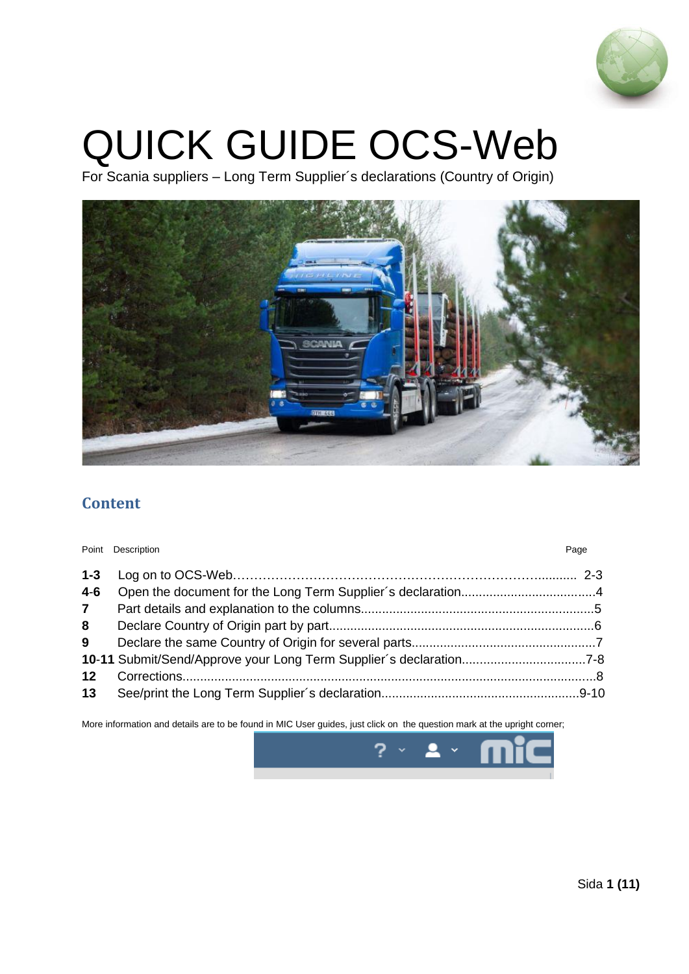

# QUICK GUIDE OCS-Web

For Scania suppliers – Long Term Supplier´s declarations (Country of Origin)



## **Content**

|                 | Point Description | Page |
|-----------------|-------------------|------|
| $1 - 3$         |                   |      |
| $4 - 6$         |                   |      |
| $\overline{7}$  |                   |      |
| 8               |                   |      |
| 9               |                   |      |
|                 |                   |      |
| 12 <sup>°</sup> |                   |      |
| 13 <sup>7</sup> |                   |      |

More information and details are to be found in MIC User guides, just click on the question mark at the upright corner;

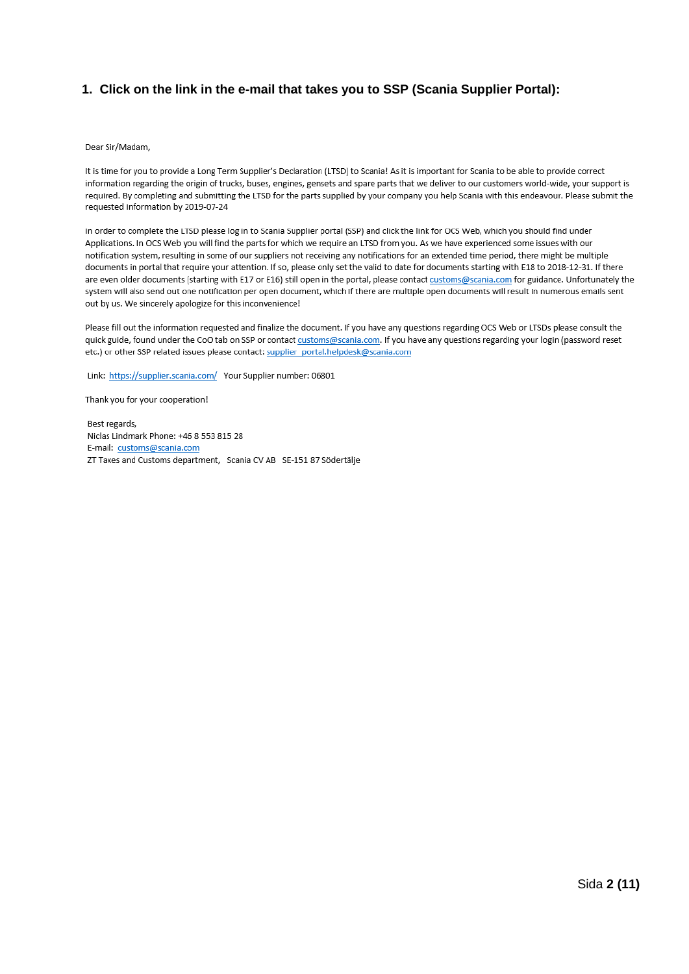#### **1. Click on the link in the e-mail that takes you to SSP (Scania Supplier Portal):**

#### Dear Sir/Madam,

It is time for you to provide a Long Term Supplier's Declaration (LTSD) to Scania! As it is important for Scania to be able to provide correct information regarding the origin of trucks, buses, engines, gensets and spare parts that we deliver to our customers world-wide, your support is required. By completing and submitting the LTSD for the parts supplied by your company you help Scania with this endeavour. Please submit the requested information by 2019-07-24

In order to complete the LTSD please log in to Scania Supplier portal (SSP) and click the link for OCS Web, which you should find under Applications. In OCS Web you will find the parts for which we require an LTSD from you. As we have experienced some issues with our notification system, resulting in some of our suppliers not receiving any notifications for an extended time period, there might be multiple documents in portal that require your attention. If so, please only set the valid to date for documents starting with E18 to 2018-12-31. If there are even older documents (starting with E17 or E16) still open in the portal, please contact customs@scania.com for guidance. Unfortunately the system will also send out one notification per open document, which if there are multiple open documents will result in numerous emails sent out by us. We sincerely apologize for this inconvenience!

Please fill out the information requested and finalize the document. If you have any questions regarding OCS Web or LTSDs please consult the quick guide, found under the CoO tab on SSP or contact customs@scania.com. If you have any questions regarding your login (password reset etc.) or other SSP related issues please contact: supplier portal.helpdesk@scania.com

Link: https://supplier.scania.com/ Your Supplier number: 06801

Thank you for your cooperation!

Best regards, Niclas Lindmark Phone: +46 8 553 815 28 E-mail: customs@scania.com ZT Taxes and Customs department, Scania CV AB SE-151 87 Södertälje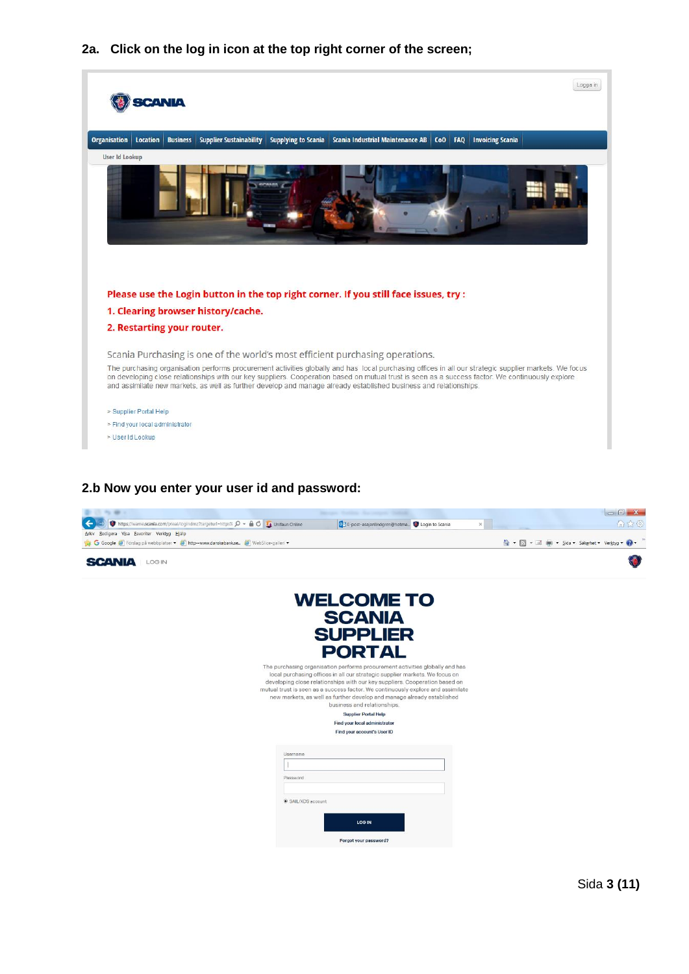**2a. Click on the log in icon at the top right corner of the screen;**



#### **2.b Now you enter your user id and password:**

| $\cdots$                                                                                                                                      |                                                                                                                                                                                                                                                                                                                                                                                                                                         | <b>CONTRACTOR</b>                                        |
|-----------------------------------------------------------------------------------------------------------------------------------------------|-----------------------------------------------------------------------------------------------------------------------------------------------------------------------------------------------------------------------------------------------------------------------------------------------------------------------------------------------------------------------------------------------------------------------------------------|----------------------------------------------------------|
| https://wame.scania.com/pteai/logindmz?targeturl=https% $O -$ @ C La Unifaun Online                                                           | OM E-post-asajanlindgren@hotma O Login to Scania<br>$\chi$                                                                                                                                                                                                                                                                                                                                                                              | <b>A</b> 2 0                                             |
| Redigera Visa Eavoriter Verktyg Hjälp<br>Arkiv<br>Google (3) Forslag på webbplatser • (3) http--www.danskebank.se (3) WebSlice-galleri •<br>G |                                                                                                                                                                                                                                                                                                                                                                                                                                         | → N + E (m + Sida + Sakerhet + Verktyg +<br>$\mathbf{a}$ |
|                                                                                                                                               |                                                                                                                                                                                                                                                                                                                                                                                                                                         |                                                          |
| <b>SCANIA</b><br>LOG IN                                                                                                                       |                                                                                                                                                                                                                                                                                                                                                                                                                                         |                                                          |
|                                                                                                                                               | <b>WELCOME TO</b>                                                                                                                                                                                                                                                                                                                                                                                                                       |                                                          |
|                                                                                                                                               |                                                                                                                                                                                                                                                                                                                                                                                                                                         |                                                          |
|                                                                                                                                               | <b>SCANIA</b>                                                                                                                                                                                                                                                                                                                                                                                                                           |                                                          |
|                                                                                                                                               | <b>SUPPLIER</b>                                                                                                                                                                                                                                                                                                                                                                                                                         |                                                          |
|                                                                                                                                               |                                                                                                                                                                                                                                                                                                                                                                                                                                         |                                                          |
|                                                                                                                                               | <b>PORTAL</b>                                                                                                                                                                                                                                                                                                                                                                                                                           |                                                          |
|                                                                                                                                               | The purchasing organisation performs procurement activities globally and has<br>local purchasing offices in all our strategic supplier markets. We focus on<br>developing close relationships with our key suppliers. Cooperation based on<br>mutual trust is seen as a success factor. We continuously explore and assimilate<br>new markets, as well as further develop and manage already established<br>business and relationships. |                                                          |
|                                                                                                                                               | <b>Supplier Portal Help</b>                                                                                                                                                                                                                                                                                                                                                                                                             |                                                          |
|                                                                                                                                               | Find your local administrator                                                                                                                                                                                                                                                                                                                                                                                                           |                                                          |
|                                                                                                                                               | Find your account's User ID                                                                                                                                                                                                                                                                                                                                                                                                             |                                                          |
| Username                                                                                                                                      |                                                                                                                                                                                                                                                                                                                                                                                                                                         |                                                          |
|                                                                                                                                               |                                                                                                                                                                                                                                                                                                                                                                                                                                         |                                                          |
| Password                                                                                                                                      |                                                                                                                                                                                                                                                                                                                                                                                                                                         |                                                          |
|                                                                                                                                               |                                                                                                                                                                                                                                                                                                                                                                                                                                         |                                                          |
| SAIL/XDS account                                                                                                                              |                                                                                                                                                                                                                                                                                                                                                                                                                                         |                                                          |
|                                                                                                                                               |                                                                                                                                                                                                                                                                                                                                                                                                                                         |                                                          |
|                                                                                                                                               | <b>LOG IN</b>                                                                                                                                                                                                                                                                                                                                                                                                                           |                                                          |
|                                                                                                                                               | Forgot your password?                                                                                                                                                                                                                                                                                                                                                                                                                   |                                                          |
|                                                                                                                                               |                                                                                                                                                                                                                                                                                                                                                                                                                                         |                                                          |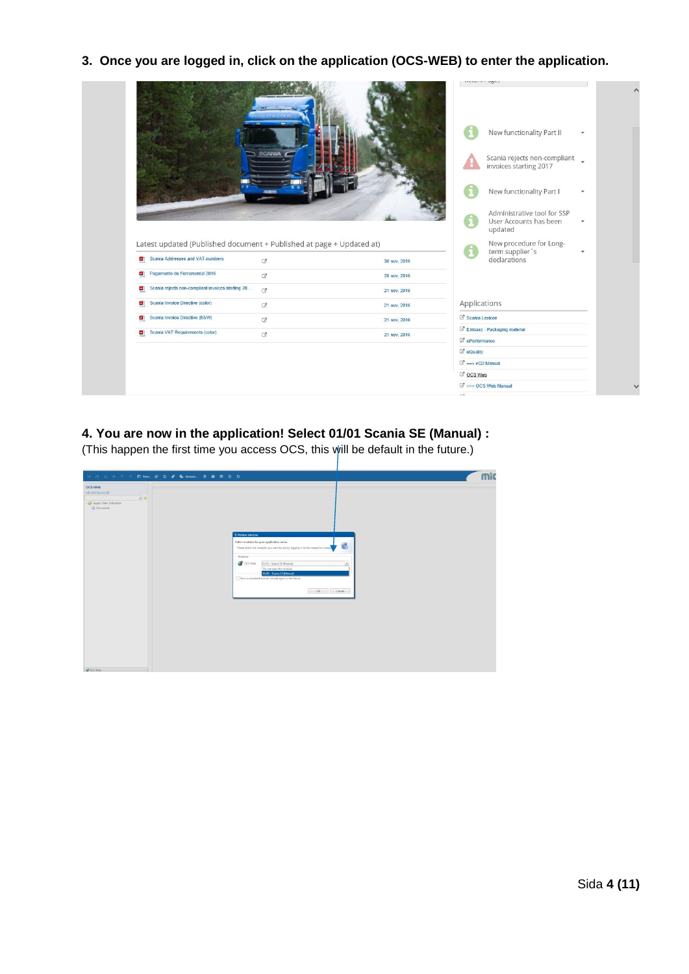**3. Once you are logged in, click on the application (OCS-WEB) to enter the application.**



### **4. You are now in the application! Select 01/01 Scania SE (Manual) :**

(This happen the first time you access OCS, this will be default in the future.)

| OCS-Web<br>MIC-OCS (01/01/58)                       |                                                                                                                                                                     |   |  |
|-----------------------------------------------------|---------------------------------------------------------------------------------------------------------------------------------------------------------------------|---|--|
| 日常<br>Supply Chain Solicitation<br><b>Documents</b> |                                                                                                                                                                     |   |  |
|                                                     | Module selection<br>Select modules for your application menu<br>Please select the modules you want to use by logging in to the respective compa-                    | 讄 |  |
|                                                     | -Modules<br>C OCS-Web<br>01/01 - Scania SE (Manual)<br>Do not open this module<br>01/01 - Scania SE (Manual)<br>Save as standard and do not ask again in the future | × |  |
|                                                     | OK Cancel                                                                                                                                                           |   |  |
|                                                     |                                                                                                                                                                     |   |  |
|                                                     |                                                                                                                                                                     |   |  |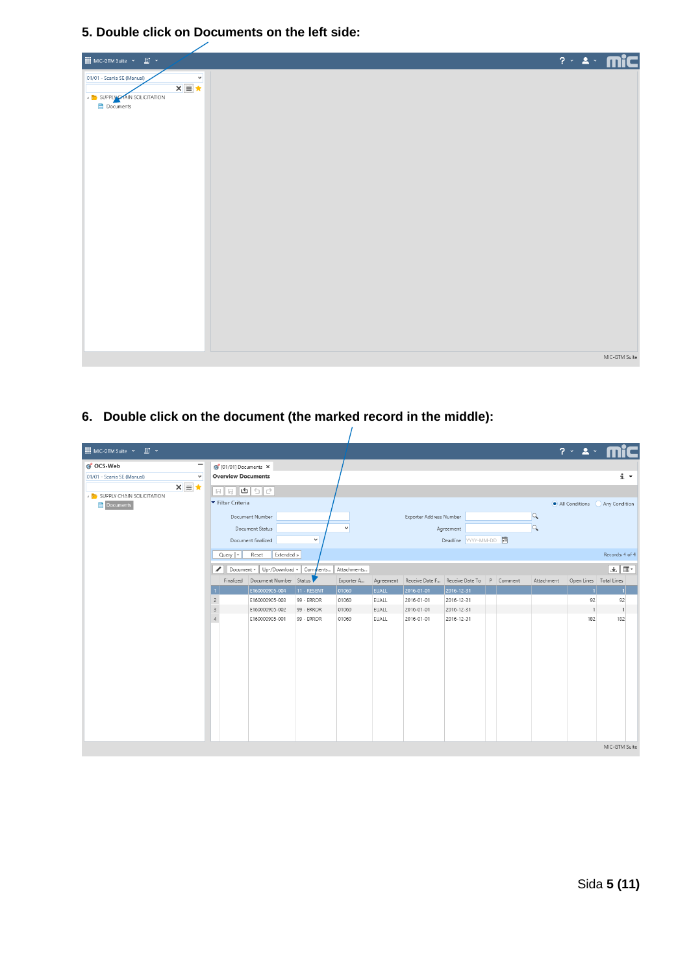**5. Double click on Documents on the left side:**



### **6. Double click on the document (the marked record in the middle):**

| MIC-GTM Suite v F v                                                                                                               |                                                                                      |                                                                                              |                                        |                                    |                                |                                        |                                                                  |  |                      | ? × 2 × <b>mic</b>           |                             |                |
|-----------------------------------------------------------------------------------------------------------------------------------|--------------------------------------------------------------------------------------|----------------------------------------------------------------------------------------------|----------------------------------------|------------------------------------|--------------------------------|----------------------------------------|------------------------------------------------------------------|--|----------------------|------------------------------|-----------------------------|----------------|
| ocs-Web<br>-<br>01/01 - Scania SE (Manual)<br>$\checkmark$<br>$x \equiv x$<br><b>A THE SUPPLY CHAIN SOLICITATION</b><br>Documents | (C) [01/01] Documents X<br><b>Overview Documents</b><br>Filter Criteria<br>Query   v | Document Number<br>Document Status<br>Document finalized<br>Extended »<br>Reset              | $\checkmark$                           | $\check{\mathbf{v}}$               |                                | Exporter Address Number                | Agreement<br>Deadline YYYY-MM-DD                                 |  | $\alpha$<br>$\alpha$ | All Conditions Any Condition | Records: 4 of 4             | $\mathbf{i}$ . |
|                                                                                                                                   | ℐ                                                                                    | Document v   Up-/Download v   Comments<br>Finalized Document Number Status<br>E160000905-004 | 11 - RESENT                            | Attachments<br>Exporter A<br>01060 | EUALL                          | 2016-01-01                             | Agreement Receive Date F Receive Date To P Comment<br>2016-12-31 |  | Attachment           | Open Lines Total Lines       | 业 Ⅲ *                       |                |
|                                                                                                                                   | $\overline{c}$<br>$\mathbf{3}$<br>$\overline{4}$                                     | E160000905-003<br>E160000905-002<br>E160000905-001                                           | 99 - ERROR<br>99 - ERROR<br>99 - ERROR | 01060<br>01060<br>01060            | EUALL<br><b>EUALL</b><br>EUALL | 2016-01-01<br>2016-01-01<br>2016-01-01 | 2016-12-31<br>2016-12-31<br>2016-12-31                           |  |                      | 92<br>182                    | 92<br>$\overline{1}$<br>182 |                |
|                                                                                                                                   |                                                                                      |                                                                                              |                                        |                                    |                                |                                        |                                                                  |  |                      |                              | MIC-GTM Suite               |                |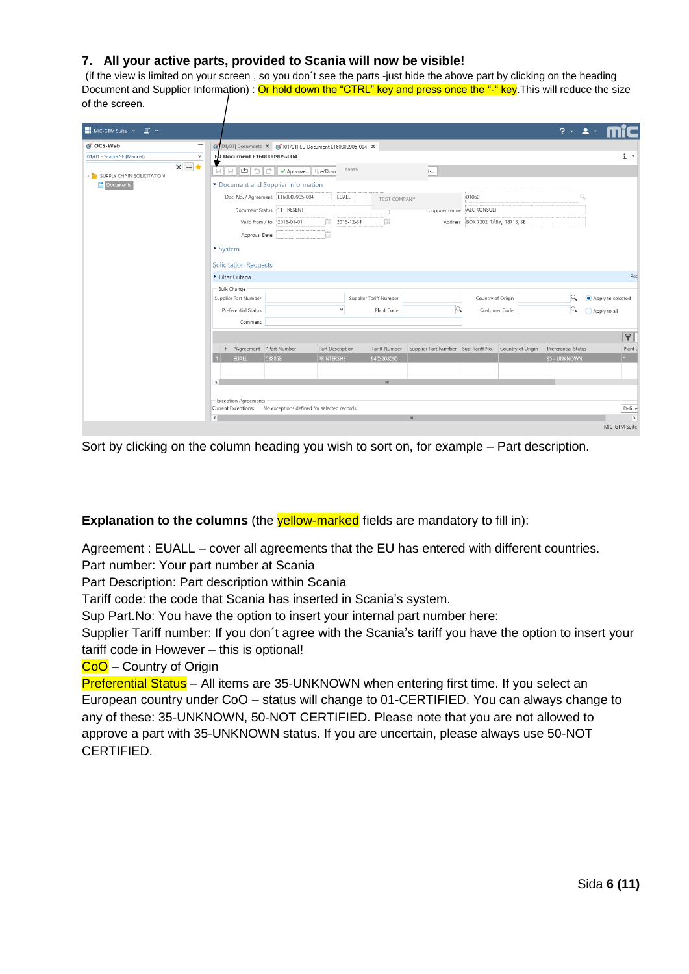#### **7. All your active parts, provided to Scania will now be visible!**

(if the view is limited on your screen , so you don´t see the parts -just hide the above part by clicking on the heading Document and Supplier Information) : Or hold down the "CTRL" key and press once the "-" key. This will reduce the size of the screen.

| <b>EL</b> MIC-GTM Suite Y<br>$\Box$                    |                                                                    |                                   |                                                        |                     | $2 \times 2 \times$      |
|--------------------------------------------------------|--------------------------------------------------------------------|-----------------------------------|--------------------------------------------------------|---------------------|--------------------------|
| ocs-Web                                                | 6 [01/01] Documents X 6 [01/01] EU Document E160000905-004 X       |                                   |                                                        |                     |                          |
| 01/01 - Scania SE (Manual)<br>$\checkmark$             | EU Document E160000905-004                                         |                                   |                                                        |                     | $i$ $\cdot$              |
| $x \equiv x$<br><b>A THE SUPPLY CHAIN SOLICITATION</b> | 日<br>$\overline{\phantom{a}}$                                      | 99999                             | ts                                                     |                     |                          |
| Documents                                              | Document and Supplier Information                                  |                                   |                                                        |                     |                          |
|                                                        |                                                                    | EUALL<br><b>TEST COMPANY</b>      | 01060                                                  |                     |                          |
|                                                        | Document Status 11 - RESENT                                        |                                   | ALC KONSULT<br>амррист туантс                          |                     |                          |
|                                                        | Valid from / to 2016-01-01                                         | ₩<br>2016-12-31<br>m              | Address BOX 7202, TABY,, 18713, SE                     |                     |                          |
|                                                        | Approval Date                                                      |                                   |                                                        |                     |                          |
|                                                        | ▶ System                                                           |                                   |                                                        |                     |                          |
|                                                        | <b>Solicitation Requests</b>                                       |                                   |                                                        |                     |                          |
|                                                        |                                                                    |                                   |                                                        |                     |                          |
|                                                        | Filter Criteria                                                    |                                   |                                                        |                     | Red                      |
|                                                        | - Bulk Change<br>Supplier Part Number                              | Supplier Tariff Number            |                                                        | Country of Origin   | Apply to selected        |
|                                                        | Preferential Status                                                | v<br>Plant Code                   |                                                        | Customer Code       |                          |
|                                                        | Comment                                                            |                                   |                                                        |                     | ◯ Apply to all           |
|                                                        |                                                                    |                                   |                                                        |                     |                          |
|                                                        |                                                                    |                                   |                                                        |                     | $\blacktriangleright$    |
|                                                        | F *Agreement *Part Number                                          | Part Description<br>Tariff Number | Supplier Part Number Sup. Tariff No. Country of Origin | Preferential Status | Plant (                  |
|                                                        | <b>EUALL</b><br>588858                                             | <b>PRINTERSHE</b><br>9403208090   |                                                        | 35 - UNKNOWN        | $\bullet$                |
|                                                        |                                                                    |                                   |                                                        |                     |                          |
|                                                        | ∢                                                                  | $\mathbf{m}$                      |                                                        |                     |                          |
|                                                        | <b>Exception Agreements</b>                                        |                                   |                                                        |                     |                          |
|                                                        | Current Exceptions:<br>No exceptions defined for selected records. |                                   |                                                        |                     | Define                   |
|                                                        | $\left\vert \cdot \right\rangle$                                   |                                   | $\mathbf{m}$                                           |                     | $\overline{\phantom{a}}$ |
|                                                        |                                                                    |                                   |                                                        |                     | MIC-GTM Suite            |

Sort by clicking on the column heading you wish to sort on, for example – Part description.

#### **Explanation to the columns** (the **yellow-marked** fields are mandatory to fill in):

Agreement : EUALL – cover all agreements that the EU has entered with different countries. Part number: Your part number at Scania

Part Description: Part description within Scania

Tariff code: the code that Scania has inserted in Scania's system.

Sup Part.No: You have the option to insert your internal part number here:

Supplier Tariff number: If you don´t agree with the Scania's tariff you have the option to insert your tariff code in However – this is optional!

CoO – Country of Origin

Preferential Status – All items are 35-UNKNOWN when entering first time. If you select an European country under CoO – status will change to 01-CERTIFIED. You can always change to any of these: 35-UNKNOWN, 50-NOT CERTIFIED. Please note that you are not allowed to approve a part with 35-UNKNOWN status. If you are uncertain, please always use 50-NOT CERTIFIED.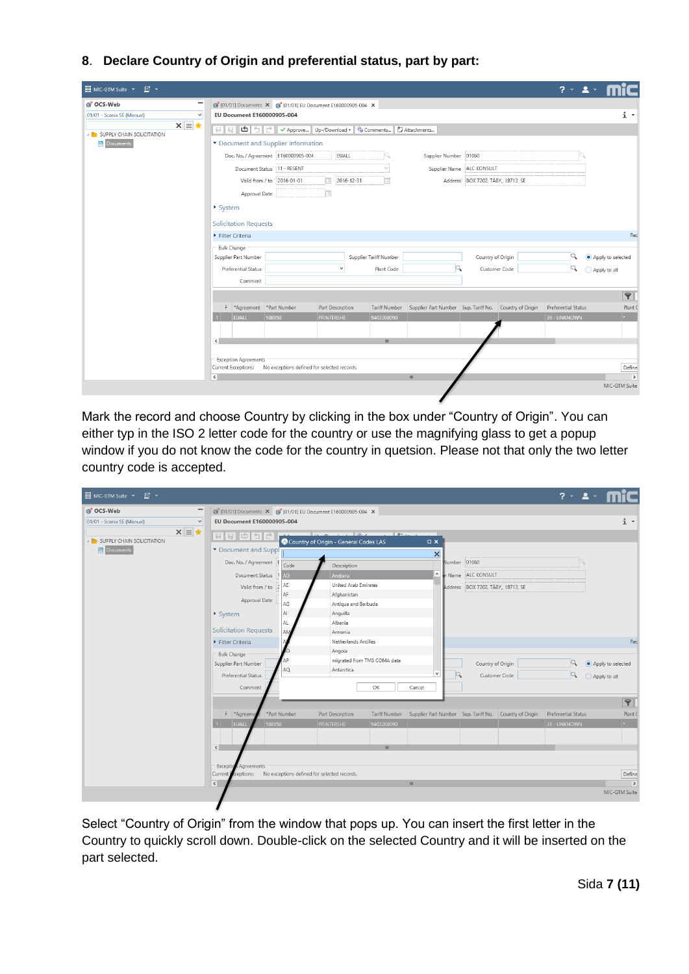**8**. **Declare Country of Origin and preferential status, part by part:**

| <b>III</b> MIC-GTM Suite Y<br>$E$ $\sim$                    |                                                                        |                                             |                                                        | $2 \times 2$                   |  |  |  |  |  |  |  |
|-------------------------------------------------------------|------------------------------------------------------------------------|---------------------------------------------|--------------------------------------------------------|--------------------------------|--|--|--|--|--|--|--|
| -<br>G OCS-Web                                              | 6 [01/01] Documents X 6 [01/01] EU Document E160000905-004 X           |                                             |                                                        |                                |  |  |  |  |  |  |  |
| $\checkmark$<br>01/01 - Scania SE (Manual)                  | EU Document E160000905-004                                             |                                             |                                                        | i +                            |  |  |  |  |  |  |  |
| $x \equiv x$<br><b>A REASS IN SUPPLY CHAIN SOLICITATION</b> | $\Box$ > Approve<br>Up-/Download v & Comments<br>Attachments<br>$\Box$ |                                             |                                                        |                                |  |  |  |  |  |  |  |
| <b>Documents</b>                                            | Document and Supplier Information                                      |                                             |                                                        |                                |  |  |  |  |  |  |  |
|                                                             | Doc. No. / Agreement E160000905-004                                    | EUALL                                       | Supplier Number 01060                                  |                                |  |  |  |  |  |  |  |
|                                                             | Document Status  11 - RESENT                                           | $\mathcal{M}$                               | ALC KONSULT<br>Supplier Name                           |                                |  |  |  |  |  |  |  |
|                                                             | Valid from / to 2016-01-01                                             | 2016-12-31<br>an i                          | Address BOX 7202, TÄBY,, 18713, SE                     |                                |  |  |  |  |  |  |  |
|                                                             | Approval Date                                                          |                                             |                                                        |                                |  |  |  |  |  |  |  |
|                                                             | System                                                                 |                                             |                                                        |                                |  |  |  |  |  |  |  |
|                                                             |                                                                        |                                             |                                                        |                                |  |  |  |  |  |  |  |
|                                                             | <b>Solicitation Requests</b><br>Filter Criteria                        |                                             |                                                        | Red                            |  |  |  |  |  |  |  |
|                                                             | Bulk Change                                                            |                                             |                                                        |                                |  |  |  |  |  |  |  |
|                                                             | Supplier Part Number                                                   | Supplier Tariff Number                      | Country of Origin                                      | $\alpha$<br>Apply to selected  |  |  |  |  |  |  |  |
|                                                             | Preferential Status                                                    | $\checkmark$<br>Plant Code                  | Customer Code                                          | Q<br>◯ Apply to all            |  |  |  |  |  |  |  |
|                                                             | Comment                                                                |                                             |                                                        |                                |  |  |  |  |  |  |  |
|                                                             |                                                                        |                                             |                                                        | $\boxed{P}$                    |  |  |  |  |  |  |  |
|                                                             | F *Agreement *Part Number                                              | Part Description<br><b>Tariff Number</b>    | Supplier Part Number Sup. Tariff No. Country of Origin | Preferential Status<br>Plant 0 |  |  |  |  |  |  |  |
|                                                             | EUALL<br>588858                                                        | PRINTERSHE<br>9403208090                    |                                                        | $\star$<br>35 - UNKNOWN        |  |  |  |  |  |  |  |
|                                                             |                                                                        |                                             |                                                        |                                |  |  |  |  |  |  |  |
|                                                             | $\leq$                                                                 | $\mathbf{m}$                                |                                                        |                                |  |  |  |  |  |  |  |
|                                                             |                                                                        |                                             |                                                        |                                |  |  |  |  |  |  |  |
|                                                             | <b>Exception Agreements</b><br>Current Exceptions:                     | No exceptions defined for selected records. |                                                        | Define                         |  |  |  |  |  |  |  |
|                                                             | $\epsilon$                                                             |                                             | $\mathbf{H}$                                           | $\rightarrow$                  |  |  |  |  |  |  |  |
|                                                             |                                                                        |                                             |                                                        | MIC-GTM Suite                  |  |  |  |  |  |  |  |
|                                                             |                                                                        |                                             |                                                        |                                |  |  |  |  |  |  |  |

Mark the record and choose Country by clicking in the box under "Country of Origin". You can either typ in the ISO 2 letter code for the country or use the magnifying glass to get a popup window if you do not know the code for the country in quetsion. Please not that only the two letter country code is accepted.

| III MIC-GTM Suite ∨ III ∨                        |                                                                                                                                                                                                                                                                                                                                                                                                                             |              |                                                     |                             |                 |   |                                    |                                                                      | $2 \times 2 \times$ |                   |                         |
|--------------------------------------------------|-----------------------------------------------------------------------------------------------------------------------------------------------------------------------------------------------------------------------------------------------------------------------------------------------------------------------------------------------------------------------------------------------------------------------------|--------------|-----------------------------------------------------|-----------------------------|-----------------|---|------------------------------------|----------------------------------------------------------------------|---------------------|-------------------|-------------------------|
| G OCS-Web                                        | 6 [01/01] Documents X 6 [01/01] EU Document E160000905-004 X                                                                                                                                                                                                                                                                                                                                                                |              |                                                     |                             |                 |   |                                    |                                                                      |                     |                   |                         |
| $\vee$<br>01/01 - Scania SE (Manual)             | EU Document E160000905-004                                                                                                                                                                                                                                                                                                                                                                                                  |              |                                                     |                             |                 |   |                                    |                                                                      |                     |                   | $i$ $\sim$              |
| $x \equiv x$<br><b>SUPPLY CHAIN SOLICITATION</b> | $\begin{array}{c} \mathbf{E} \mathbf{E} \mathbf{E} \mathbf{E} \mathbf{E} \mathbf{E} \mathbf{E} \mathbf{E} \mathbf{E} \mathbf{E} \mathbf{E} \mathbf{E} \mathbf{E} \mathbf{E} \mathbf{E} \mathbf{E} \mathbf{E} \mathbf{E} \mathbf{E} \mathbf{E} \mathbf{E} \mathbf{E} \mathbf{E} \mathbf{E} \mathbf{E} \mathbf{E} \mathbf{E} \mathbf{E} \mathbf{E} \mathbf{E} \mathbf{E} \mathbf{E} \mathbf{E} \mathbf{E} \mathbf{E} \mathbf$ |              | $\sqrt{2}$<br>Country of Origin - General Codes LAS | $\mathbb{R}$                | $\Box$ $\times$ |   |                                    |                                                                      |                     |                   |                         |
| <b>Documents</b>                                 | Document and Suppl                                                                                                                                                                                                                                                                                                                                                                                                          |              |                                                     |                             | $\times$        |   |                                    |                                                                      |                     |                   |                         |
|                                                  | Doc. No. / Agreement                                                                                                                                                                                                                                                                                                                                                                                                        | Code         | Description                                         |                             |                 |   | Number 01060                       |                                                                      |                     |                   |                         |
|                                                  | Document Status                                                                                                                                                                                                                                                                                                                                                                                                             | AD           | Andorra                                             |                             | $\land$         |   | r Name ALC KONSULT                 |                                                                      |                     |                   |                         |
|                                                  | Valid from / to                                                                                                                                                                                                                                                                                                                                                                                                             | AE           | United Arab Emirates                                |                             |                 |   | Address BOX 7202, TÄBY,, 18713, SE |                                                                      |                     |                   |                         |
|                                                  | Approval Date                                                                                                                                                                                                                                                                                                                                                                                                               | AF<br>AG     | Afghanistan<br>Antiqua and Barbuda                  |                             |                 |   |                                    |                                                                      |                     |                   |                         |
|                                                  | ▶ System                                                                                                                                                                                                                                                                                                                                                                                                                    | AI           | Anguilla                                            |                             |                 |   |                                    |                                                                      |                     |                   |                         |
|                                                  |                                                                                                                                                                                                                                                                                                                                                                                                                             | AL.          | Albania                                             |                             |                 |   |                                    |                                                                      |                     |                   |                         |
|                                                  | <b>Solicitation Requests</b>                                                                                                                                                                                                                                                                                                                                                                                                | <b>AM</b>    | Armenia                                             |                             |                 |   |                                    |                                                                      |                     |                   |                         |
|                                                  | Filter Criteria                                                                                                                                                                                                                                                                                                                                                                                                             |              | Netherlands Antilles                                |                             |                 |   |                                    |                                                                      |                     |                   | Red                     |
|                                                  | - Bulk Change                                                                                                                                                                                                                                                                                                                                                                                                               |              | Angola                                              |                             |                 |   |                                    |                                                                      |                     |                   |                         |
|                                                  | Supplier Part Number                                                                                                                                                                                                                                                                                                                                                                                                        |              |                                                     | migrated from TMS COMA data |                 |   | Country of Origin                  |                                                                      | Q                   | Apply to selected |                         |
|                                                  | Preferential Status                                                                                                                                                                                                                                                                                                                                                                                                         | AQ           | Antarctica                                          |                             | $\checkmark$    | Q |                                    | Customer Code                                                        | Q                   | ◯ Apply to all    |                         |
|                                                  | Comment                                                                                                                                                                                                                                                                                                                                                                                                                     |              |                                                     | OK                          | Cancel          |   |                                    |                                                                      |                     |                   |                         |
|                                                  |                                                                                                                                                                                                                                                                                                                                                                                                                             |              |                                                     |                             |                 |   |                                    |                                                                      |                     |                   | $\blacktriangledown$    |
|                                                  | F *Agreeme                                                                                                                                                                                                                                                                                                                                                                                                                  | *Part Number | Part Description                                    |                             |                 |   |                                    | Tariff Number Supplier Part Number Sup. Tariff No. Country of Origin | Preferential Status |                   | Plant (                 |
|                                                  | 588858<br><b>EUALL</b>                                                                                                                                                                                                                                                                                                                                                                                                      |              | <b>PRINTERSHE</b>                                   | 9403208090                  |                 |   |                                    |                                                                      | 35 - UNKNOWN        |                   | $\star$                 |
|                                                  |                                                                                                                                                                                                                                                                                                                                                                                                                             |              |                                                     |                             |                 |   |                                    |                                                                      |                     |                   |                         |
|                                                  | $\overline{\left( \right)}$                                                                                                                                                                                                                                                                                                                                                                                                 |              |                                                     | $\mathbf{m}$                |                 |   |                                    |                                                                      |                     |                   |                         |
|                                                  |                                                                                                                                                                                                                                                                                                                                                                                                                             |              |                                                     |                             |                 |   |                                    |                                                                      |                     |                   |                         |
|                                                  | Exception<br>Agreements                                                                                                                                                                                                                                                                                                                                                                                                     |              |                                                     |                             |                 |   |                                    |                                                                      |                     |                   |                         |
|                                                  | ceptions: No exceptions defined for selected records.<br>Current <b>F</b><br>$\vert$ < $\vert$                                                                                                                                                                                                                                                                                                                              |              |                                                     |                             | $\mathbf{m}$    |   |                                    |                                                                      |                     |                   | Define<br>$\rightarrow$ |
|                                                  |                                                                                                                                                                                                                                                                                                                                                                                                                             |              |                                                     |                             |                 |   |                                    |                                                                      |                     |                   | MIC-GTM Suite           |
|                                                  |                                                                                                                                                                                                                                                                                                                                                                                                                             |              |                                                     |                             |                 |   |                                    |                                                                      |                     |                   |                         |

Select "Country of Origin" from the window that pops up. You can insert the first letter in the Country to quickly scroll down. Double-click on the selected Country and it will be inserted on the part selected.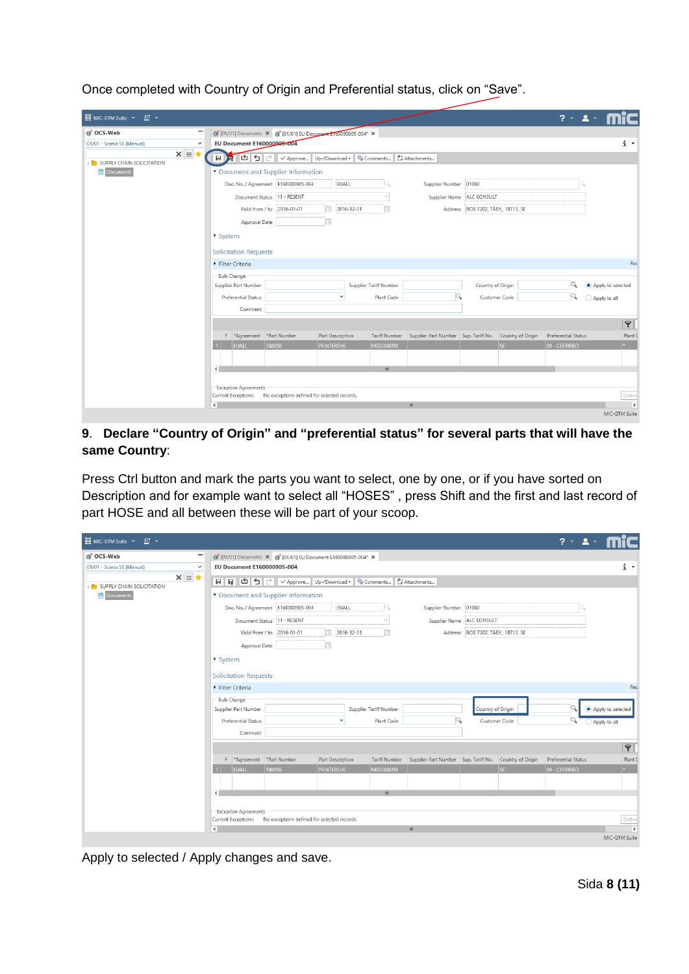| III MIC-GTM Suite × 国 ×                                                |                                                               |                                             |                                                        | $2 \times 2 \times$                |
|------------------------------------------------------------------------|---------------------------------------------------------------|---------------------------------------------|--------------------------------------------------------|------------------------------------|
| -<br>G OCS-Web                                                         | 6 [01/01] Documents X 6 [01/01] EU Document E160000905-004* X |                                             |                                                        |                                    |
| 01/01 - Scania SE (Manual)<br>$\checkmark$                             | EU Document E160000905-004                                    |                                             |                                                        | $i$ $\cdot$                        |
| $x \equiv$<br><b>A REASS IN SUPPLY CHAIN SOLICITATION</b><br>Documents | $  \sigma  $ ا $  \sigma  $<br>н                              | ✔ Approve   Up-/Download ▼   © Comments     | Attachments                                            |                                    |
|                                                                        | Document and Supplier Information                             |                                             |                                                        |                                    |
|                                                                        | Doc. No. / Agreement E160000905-004                           | EUALL                                       | Supplier Number 01060                                  |                                    |
|                                                                        | Document Status   11 - RESENT                                 | $\mathcal{M}$                               | Supplier Name ALC KONSULT                              |                                    |
|                                                                        | Valid from / to 2016-01-01                                    | 疆<br>2016-12-31                             | Address BOX 7202, TÄBY,, 18713, SE                     |                                    |
|                                                                        | Approval Date                                                 |                                             |                                                        |                                    |
|                                                                        | ▶ System                                                      |                                             |                                                        |                                    |
|                                                                        |                                                               |                                             |                                                        |                                    |
|                                                                        | <b>Solicitation Requests</b>                                  |                                             |                                                        |                                    |
|                                                                        | Filter Criteria                                               |                                             |                                                        | Red                                |
|                                                                        | - Bulk Change                                                 |                                             |                                                        |                                    |
|                                                                        | Supplier Part Number                                          | Supplier Tariff Number                      | Country of Origin                                      | lQ.<br>Apply to selected           |
|                                                                        | Preferential Status                                           | $\checkmark$<br>Plant Code                  | Customer Code                                          | Q<br>◯ Apply to all                |
|                                                                        | Comment                                                       |                                             |                                                        |                                    |
|                                                                        |                                                               |                                             |                                                        | $\blacktriangledown$               |
|                                                                        | F *Agreement *Part Number                                     | Part Description<br>Tariff Number           | Supplier Part Number Sup. Tariff No. Country of Origin | Preferential Status<br>Plant (     |
|                                                                        | EUALL<br>588858                                               | PRINTERSHE<br>9403208090                    |                                                        | SE <br>$\star$ .<br>01 - CERTIFIED |
|                                                                        |                                                               |                                             |                                                        |                                    |
|                                                                        | $\leq$                                                        | $\mathbf{m}$                                |                                                        |                                    |
|                                                                        |                                                               |                                             |                                                        |                                    |
|                                                                        | <b>Exception Agreements</b><br>Current Exceptions:            | No exceptions defined for selected records. |                                                        | Define                             |
|                                                                        | $\sim$                                                        |                                             | $\mathbf{m}$                                           | $\rightarrow$                      |
|                                                                        |                                                               |                                             |                                                        | MIC-GTM Suite                      |

Once completed with Country of Origin and Preferential status, click on "Save".

#### **9**. **Declare "Country of Origin" and "preferential status" for several parts that will have the same Country**:

Press Ctrl button and mark the parts you want to select, one by one, or if you have sorted on Description and for example want to select all "HOSES" , press Shift and the first and last record of part HOSE and all between these will be part of your scoop.

| <b>HI MIC-GTM Suite Y</b><br>$\Box$ $\sim$                   |                                                                                                                                                                                                                                                                                                                                                                                                                                                                                                    |                                             |                   |                        |                                                                      |                                    |     | $2 \times 2 \times$ |                         |  |
|--------------------------------------------------------------|----------------------------------------------------------------------------------------------------------------------------------------------------------------------------------------------------------------------------------------------------------------------------------------------------------------------------------------------------------------------------------------------------------------------------------------------------------------------------------------------------|---------------------------------------------|-------------------|------------------------|----------------------------------------------------------------------|------------------------------------|-----|---------------------|-------------------------|--|
| -<br>G OCS-Web<br>01/01 - Scania SE (Manual)<br>$\checkmark$ | 6 [01/01] Documents X 6 [01/01] EU Document E160000905-004* X<br>EU Document E160000905-004                                                                                                                                                                                                                                                                                                                                                                                                        |                                             |                   |                        |                                                                      |                                    |     |                     | i ×                     |  |
| $x \equiv x$<br>SUPPLY CHAIN SOLICITATION<br>Documents       | $\boxed{\blacksquare} \begin{array}{ c  c c c c c c c} \hline \text{ } & \text{ } \end{array}} \begin{array}{ c  c c c c c c c} \hline \text{ } & \text{ } \end{array}} \begin{array}{ c  c c c c c c c} \hline \text{ } & \text{ } \end{array}} \begin{array}{ c  c c c c c} \hline \text{ } & \text{ } \end{array}} \begin{array}{ c  c c c c c} \hline \text{ } & \text{ } \end{array}} \begin{array}{ c  c c c c} \hline \text{ } & \text$<br>Attachments<br>Document and Supplier Information |                                             |                   |                        |                                                                      |                                    |     |                     |                         |  |
|                                                              |                                                                                                                                                                                                                                                                                                                                                                                                                                                                                                    |                                             | EUALL             |                        | Supplier Number 01060                                                |                                    |     |                     |                         |  |
|                                                              | Document Status   11 - RESENT                                                                                                                                                                                                                                                                                                                                                                                                                                                                      |                                             |                   |                        |                                                                      | Supplier Name ALC KONSULT          |     |                     |                         |  |
|                                                              | Valid from / to 2016-01-01<br>Approval Date                                                                                                                                                                                                                                                                                                                                                                                                                                                        |                                             | Ħ<br>2016-12-31   |                        |                                                                      | Address BOX 7202, TABY,, 18713, SE |     |                     |                         |  |
|                                                              | System                                                                                                                                                                                                                                                                                                                                                                                                                                                                                             |                                             |                   |                        |                                                                      |                                    |     |                     |                         |  |
|                                                              | <b>Solicitation Requests</b>                                                                                                                                                                                                                                                                                                                                                                                                                                                                       |                                             |                   |                        |                                                                      |                                    |     |                     |                         |  |
|                                                              | Filter Criteria                                                                                                                                                                                                                                                                                                                                                                                                                                                                                    |                                             |                   |                        |                                                                      |                                    |     |                     | Red                     |  |
|                                                              | - Bulk Change<br>Supplier Part Number                                                                                                                                                                                                                                                                                                                                                                                                                                                              |                                             |                   | Supplier Tariff Number |                                                                      | Country of Origin                  |     | Q                   | Apply to selected       |  |
|                                                              | Preferential Status<br>Comment                                                                                                                                                                                                                                                                                                                                                                                                                                                                     |                                             | $\checkmark$      | Plant Code             |                                                                      | Customer Code                      |     | Q                   | Apply to all            |  |
|                                                              |                                                                                                                                                                                                                                                                                                                                                                                                                                                                                                    |                                             |                   |                        |                                                                      |                                    |     |                     | $\mathbf{P}$            |  |
|                                                              | F *Agreement *Part Number                                                                                                                                                                                                                                                                                                                                                                                                                                                                          |                                             | Part Description  |                        | Tariff Number Supplier Part Number Sup. Tariff No. Country of Origin |                                    |     | Preferential Status | Plant 0                 |  |
|                                                              | <b>EUALL</b>                                                                                                                                                                                                                                                                                                                                                                                                                                                                                       | 588858                                      | <b>PRINTERSHE</b> | 9403208090             |                                                                      |                                    | SE. | 01 - CERTIFIED      | $\star$ .               |  |
|                                                              | ∢                                                                                                                                                                                                                                                                                                                                                                                                                                                                                                  |                                             |                   | $\mathbf{m}$           |                                                                      |                                    |     |                     |                         |  |
|                                                              | Exception Agreements<br>Current Exceptions:                                                                                                                                                                                                                                                                                                                                                                                                                                                        | No exceptions defined for selected records. |                   |                        |                                                                      |                                    |     |                     |                         |  |
|                                                              | $\left\vert \cdot \right\rangle$                                                                                                                                                                                                                                                                                                                                                                                                                                                                   |                                             |                   |                        | $\mathbf{m}$                                                         |                                    |     |                     | Define<br>$\rightarrow$ |  |
|                                                              |                                                                                                                                                                                                                                                                                                                                                                                                                                                                                                    |                                             |                   |                        |                                                                      |                                    |     |                     | MIC-GTM Suite           |  |

Apply to selected / Apply changes and save.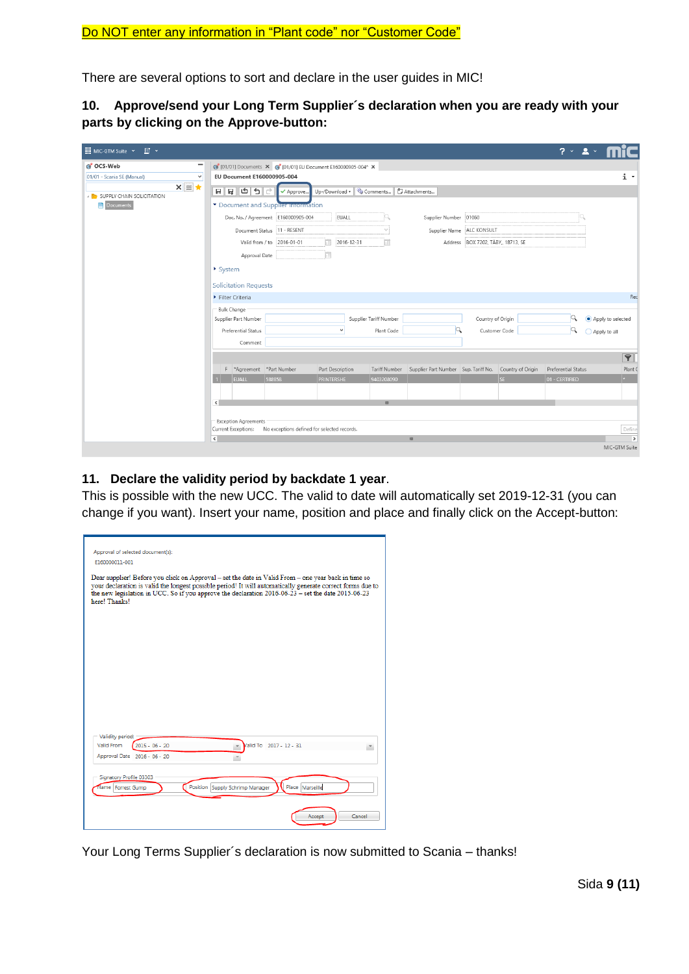There are several options to sort and declare in the user guides in MIC!

**10. Approve/send your Long Term Supplier´s declaration when you are ready with your parts by clicking on the Approve-button:**

| <b>III</b> MIC-GTM Suite Y<br>$\Box$                        |                                                               |                                             |                  |                                         |                                                        |                                    |               | $2 \times 2 \times$ |                                |
|-------------------------------------------------------------|---------------------------------------------------------------|---------------------------------------------|------------------|-----------------------------------------|--------------------------------------------------------|------------------------------------|---------------|---------------------|--------------------------------|
| G OCS-Web<br>-                                              | 6 [01/01] Documents X 6 [01/01] EU Document E160000905-004* X |                                             |                  |                                         |                                                        |                                    |               |                     |                                |
| $\vee$<br>01/01 - Scania SE (Manual)                        | EU Document E160000905-004                                    |                                             |                  |                                         |                                                        |                                    |               |                     | i ×                            |
| $x \equiv x$<br><b>A REASS IN SUPPLY CHAIN SOLICITATION</b> | 이 한 달 뒤                                                       | ✔ Approve.                                  |                  | Up-/Download v Comments   [ Attachments |                                                        |                                    |               |                     |                                |
| <b>Documents</b>                                            | Document and Supplier information                             |                                             |                  |                                         |                                                        |                                    |               |                     |                                |
|                                                             |                                                               |                                             | EUALL            |                                         | Supplier Number 01060                                  |                                    |               |                     |                                |
|                                                             |                                                               | Document Status 11 - RESENT                 |                  |                                         | Supplier Name                                          | ALC KONSULT                        |               |                     |                                |
|                                                             |                                                               | Valid from / to 2016-01-01                  | m                | m<br>2016-12-31                         |                                                        | Address BOX 7202, TÄBY,, 18713, SE |               |                     |                                |
|                                                             | Approval Date                                                 |                                             |                  |                                         |                                                        |                                    |               |                     |                                |
|                                                             | $\triangleright$ System                                       |                                             |                  |                                         |                                                        |                                    |               |                     |                                |
|                                                             | <b>Solicitation Requests</b>                                  |                                             |                  |                                         |                                                        |                                    |               |                     |                                |
|                                                             | Filter Criteria                                               |                                             |                  |                                         |                                                        |                                    |               |                     | Red                            |
|                                                             | Bulk Change                                                   |                                             |                  |                                         |                                                        |                                    |               |                     |                                |
|                                                             | Supplier Part Number                                          |                                             |                  | Supplier Tariff Number                  |                                                        | Country of Origin                  |               | Q                   | Apply to selected              |
|                                                             | Preferential Status                                           |                                             |                  | Plant Code                              |                                                        |                                    | Customer Code | Q                   | ◯ Apply to all                 |
|                                                             | Comment                                                       |                                             |                  |                                         |                                                        |                                    |               |                     |                                |
|                                                             |                                                               |                                             |                  |                                         |                                                        |                                    |               |                     | $\blacktriangledown$           |
|                                                             | F *Agreement *Part Number                                     |                                             | Part Description | <b>Tariff Number</b>                    | Supplier Part Number Sup. Tariff No. Country of Origin |                                    |               | Preferential Status | Plant (                        |
|                                                             | <b>EUALL</b>                                                  | 588858                                      | PRINTERSHE       | 9403208090                              |                                                        |                                    | SE            | 01 - CERTIFIED      | $\star$                        |
|                                                             |                                                               |                                             |                  |                                         |                                                        |                                    |               |                     |                                |
|                                                             | $\left  \cdot \right $                                        |                                             |                  | $\mathbf{m}$                            |                                                        |                                    |               |                     |                                |
|                                                             | <b>Exception Agreements</b>                                   |                                             |                  |                                         |                                                        |                                    |               |                     |                                |
|                                                             | Current Exceptions:                                           | No exceptions defined for selected records. |                  |                                         |                                                        |                                    |               |                     | Define                         |
|                                                             | $\epsilon$                                                    |                                             |                  |                                         | $\mathbf{m}$                                           |                                    |               |                     | $\rightarrow$<br>MIC-GTM Suite |
|                                                             |                                                               |                                             |                  |                                         |                                                        |                                    |               |                     |                                |

#### **11. Declare the validity period by backdate 1 year**.

This is possible with the new UCC. The valid to date will automatically set 2019-12-31 (you can change if you want). Insert your name, position and place and finally click on the Accept-button:

| Approval of selected document(s):                                                                                                                                                                                                                                                                                                        |
|------------------------------------------------------------------------------------------------------------------------------------------------------------------------------------------------------------------------------------------------------------------------------------------------------------------------------------------|
| E160000011-001                                                                                                                                                                                                                                                                                                                           |
|                                                                                                                                                                                                                                                                                                                                          |
| Dear supplier! Before you click on Approval - set the date in Valid From - one year back in time so<br>your declaration is valid the longest possible period! It will automatically generate correct forms due to<br>the new legislation in UCC. So if you approve the declaration 2016-06-23 - set the date 2015-06-23<br>here! Thanks! |
|                                                                                                                                                                                                                                                                                                                                          |
|                                                                                                                                                                                                                                                                                                                                          |
|                                                                                                                                                                                                                                                                                                                                          |
|                                                                                                                                                                                                                                                                                                                                          |
|                                                                                                                                                                                                                                                                                                                                          |
|                                                                                                                                                                                                                                                                                                                                          |
|                                                                                                                                                                                                                                                                                                                                          |
|                                                                                                                                                                                                                                                                                                                                          |
|                                                                                                                                                                                                                                                                                                                                          |
|                                                                                                                                                                                                                                                                                                                                          |
|                                                                                                                                                                                                                                                                                                                                          |
| Validity period:                                                                                                                                                                                                                                                                                                                         |
| Valid From<br>$2015 - 06 - 20$<br>Valid To 2017 - 12 - 31                                                                                                                                                                                                                                                                                |
| Approval Date 2016 - 06 - 20                                                                                                                                                                                                                                                                                                             |
|                                                                                                                                                                                                                                                                                                                                          |
| Signatory Profile 03303                                                                                                                                                                                                                                                                                                                  |
| Place Marseille<br>Position Supply Schrimp Manager<br>Name Forrest Gump                                                                                                                                                                                                                                                                  |
|                                                                                                                                                                                                                                                                                                                                          |
| Cancel<br>Accept                                                                                                                                                                                                                                                                                                                         |
|                                                                                                                                                                                                                                                                                                                                          |

Your Long Terms Supplier´s declaration is now submitted to Scania – thanks!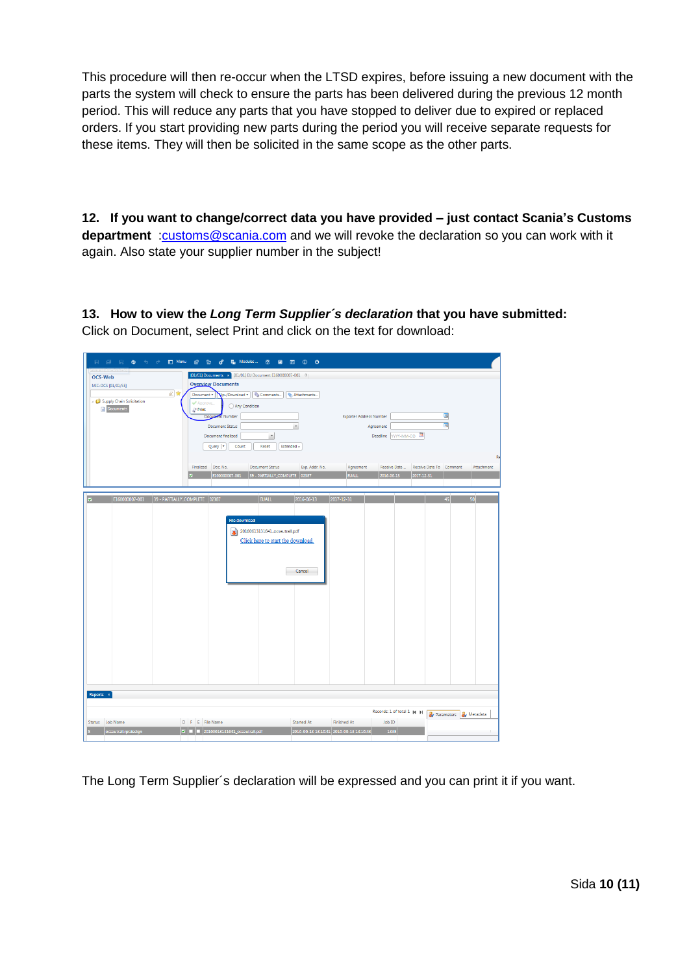This procedure will then re-occur when the LTSD expires, before issuing a new document with the parts the system will check to ensure the parts has been delivered during the previous 12 month period. This will reduce any parts that you have stopped to deliver due to expired or replaced orders. If you start providing new parts during the period you will receive separate requests for these items. They will then be solicited in the same scope as the other parts.

**12. If you want to change/correct data you have provided – just contact Scania's Customs department** [:customs@scania.com](mailto:customs@scania.com) and we will revoke the declaration so you can work with it again. Also state your supplier number in the subject!

**13. How to view the** *Long Term Supplier´s declaration* **that you have submitted:** Click on Document, select Print and click on the text for download:

| <b>日 日 日 白</b> ち っ<br>□ Menu @ 2g                                                                                                   | d <sup>3</sup> 臨 Modules」 ② 回 回 ① ①                                                                                                                                                                                                                                                                                                                                                                                                               |                                                                                                                                             |                                                               |
|-------------------------------------------------------------------------------------------------------------------------------------|---------------------------------------------------------------------------------------------------------------------------------------------------------------------------------------------------------------------------------------------------------------------------------------------------------------------------------------------------------------------------------------------------------------------------------------------------|---------------------------------------------------------------------------------------------------------------------------------------------|---------------------------------------------------------------|
| <b>OCS-Web</b><br>MIC-OCS [01/01/SE]<br>風雷<br>Document <b>v</b><br>Supply Chain Solicitation<br>Approve<br>Documents<br>Print<br>ø. | [01/01] Documents x [01/01] EU Document E160000007-001 0<br><b>Overview Documents</b><br>Vp-/Download v   Comments<br>Attachments<br>○ Any Condition<br>Document Number<br><b>Document Status</b><br>$\overline{\phantom{a}}$<br>Document finalized<br>$\overline{\phantom{a}}$<br>Query   v<br>Count<br>Reset<br>Extended »<br>Finalized Doc. No.<br><b>Document Status</b><br>Exp. Addr. No.<br>E160000007-001<br>39 - PARTIALLY_COMPLETE 02387 | <b>Exporter Address Number</b><br>Agreement<br>Deadline YYYY-MM-DD<br>Receive Date<br>Agreement<br><b>EUALL</b><br>2016-06-13<br>2017-12-31 | Q<br>Q.<br><b>Re</b><br>Receive Date To Comment<br>Attachment |
| E160000007-001 39 - PARTIALLY_COMPLETE 02387<br>×                                                                                   | <b>EUALL</b><br>2016-06-13<br>File download<br>20160613131641_ocseutrall.pdf<br>Click here to start the download.<br>Cancel                                                                                                                                                                                                                                                                                                                       | 2017-12-31                                                                                                                                  | 45<br>50                                                      |
| Reports *<br>Status Job Name<br>D F E File Name<br>ocseutrall.rptdesign                                                             | Started At<br>$\mathbf{z}$ = $\mathbf{z}$ = 20160613131641_ocseutrall.pdf                                                                                                                                                                                                                                                                                                                                                                         | Records: 1 of total 1 [4] [9]<br><b>Finished At</b><br>Job ID<br>2016-06-13 13:16:41 2016-06-13 13:16:43<br>1335                            | <b>Av Parameters Av</b> Metadata                              |

The Long Term Supplier´s declaration will be expressed and you can print it if you want.